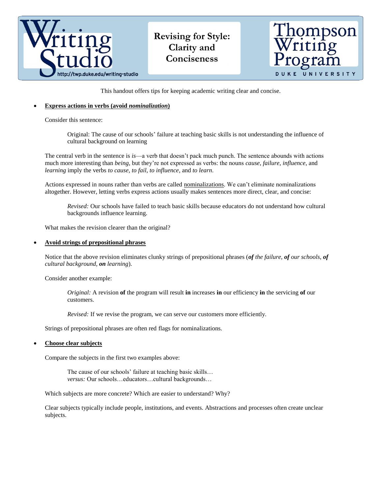

This handout offers tips for keeping academic writing clear and concise.

# **Express actions in verbs (avoid** *nominalization***)**

Consider this sentence:

Original: The cause of our schools' failure at teaching basic skills is not understanding the influence of cultural background on learning

The central verb in the sentence is *is*—a verb that doesn't pack much punch. The sentence abounds with actions much more interesting than *being*, but they're not expressed as verbs: the nouns *cause*, *failure*, *influence*, and *learning* imply the verbs *to cause*, *to fail*, *to influence*, and *to learn*.

Actions expressed in nouns rather than verbs are called nominalizations. We can't eliminate nominalizations altogether. However, letting verbs express actions usually makes sentences more direct, clear, and concise:

*Revised:* Our schools have failed to teach basic skills because educators do not understand how cultural backgrounds influence learning.

What makes the revision clearer than the original?

#### **Avoid strings of prepositional phrases**

Notice that the above revision eliminates clunky strings of prepositional phrases (*of the failure, of our schools, of cultural background, on learning*).

Consider another example:

*Original:* A revision **of** the program will result **in** increases **in** our efficiency **in** the servicing **of** our customers.

*Revised:* If we revise the program, we can serve our customers more efficiently.

Strings of prepositional phrases are often red flags for nominalizations.

### **Choose clear subjects**

Compare the subjects in the first two examples above:

The cause of our schools' failure at teaching basic skills… *versus:* Our schools…educators…cultural backgrounds…

Which subjects are more concrete? Which are easier to understand? Why?

Clear subjects typically include people, institutions, and events. Abstractions and processes often create unclear subjects.